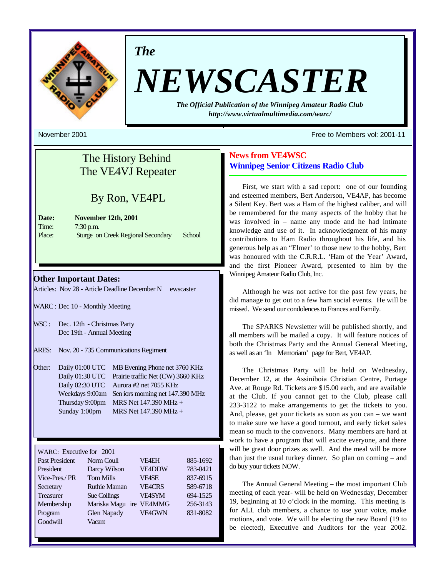

*The*

# *NEWSCASTER*

*The Official Publication of the Winnipeg Amateur Radio Club http://www.virtualmultimedia.com/warc/*

# The History Behind The VE4VJ Repeater

# By Ron, VE4PL

| Date:  | November 12th, 2001                |        |
|--------|------------------------------------|--------|
| Time:  | $7:30$ p.m.                        |        |
| Place: | Sturge on Creek Regional Secondary | School |

# **Other Important Dates:**

Articles: Nov 28 - Article Deadline December N ewscaster

- WARC : Dec 10 Monthly Meeting
- WSC : Dec. 12th Christmas Party Dec 19th - Annual Meeting
- ARES: Nov. 20 735 Communications Regiment
- Other: Daily 01:00 UTC MB Evening Phone net 3760 KHz Daily 01:30 UTC Prairie traffic Net (CW) 3660 KHz Daily 02:30 UTC Aurora #2 net 7055 KHz Weekdays 9:00am Sen iors morning net 147.390 MHz Thursday 9:00pm MRS Net  $147.390 \text{ MHz} +$ Sunday 1:00pm MRS Net 147.390 MHz +

| WARC: Executive for 2001 |                     |               |          |
|--------------------------|---------------------|---------------|----------|
| <b>Past President</b>    | Norm Coull          | <b>VF4EH</b>  | 885-1692 |
| President                | Darcy Wilson        | <b>VE4DDW</b> | 783-0421 |
| Vice-Pres./PR            | <b>Tom Mills</b>    | <b>VF4SE</b>  | 837-6915 |
| Secretary                | <b>Ruthie Maman</b> | <b>VEACRS</b> | 589-6718 |
| <b>Treasurer</b>         | Sue Collings        | <b>VFASYM</b> | 694-1525 |
| Membership               | Mariska Magu<br>ire | <b>VE4MMG</b> | 256-3143 |
| Program                  | Glen Napady         | <b>VE4GWN</b> | 831-8082 |
| Goodwill                 | Vacant              |               |          |

#### November 2001 Free to Members vol: 2001-11

# **News from VE4WSC Winnipeg Senior Citizens Radio Club**

First, we start with a sad report: one of our founding and esteemed members, Bert Anderson, VE4AP, has become a Silent Key. Bert was a Ham of the highest caliber, and will be remembered for the many aspects of the hobby that he was involved in – name any mode and he had intimate knowledge and use of it. In acknowledgment of his many contributions to Ham Radio throughout his life, and his generous help as an "Elmer' to those new to the hobby, Bert was honoured with the C.R.R.L. 'Ham of the Year' Award, and the first Pioneer Award, presented to him by the Winnipeg Amateur Radio Club, Inc.

Although he was not active for the past few years, he did manage to get out to a few ham social events. He will be missed. We send our condolences to Frances and Family.

The SPARKS Newsletter will be published shortly, and all members will be mailed a copy. It will feature notices of both the Christmas Party and the Annual General Meeting, as well as an 'In Memoriam' page for Bert, VE4AP.

The Christmas Party will be held on Wednesday, December 12, at the Assiniboia Christian Centre, Portage Ave. at Rouge Rd. Tickets are \$15.00 each, and are available at the Club. If you cannot get to the Club, please call 233-3122 to make arrangements to get the tickets to you. And, please, get your tickets as soon as you can – we want to make sure we have a good turnout, and early ticket sales mean so much to the convenors. Many members are hard at work to have a program that will excite everyone, and there will be great door prizes as well. And the meal will be more than just the usual turkey dinner. So plan on coming – and do buy your tickets NOW.

The Annual General Meeting – the most important Club meeting of each year- will be held on Wednesday, December 19, beginning at 10 o'clock in the morning. This meeting is for ALL club members, a chance to use your voice, make motions, and vote. We will be electing the new Board (19 to be elected), Executive and Auditors for the year 2002.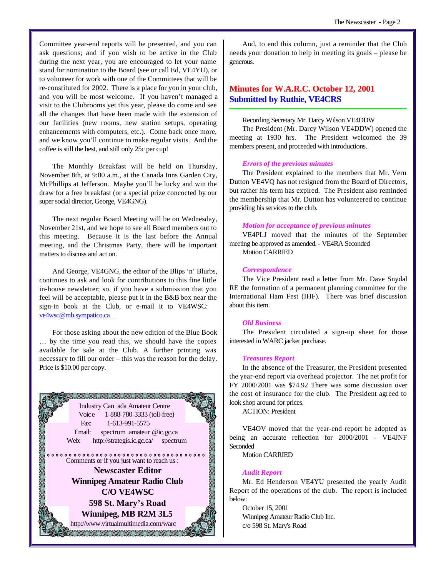Committee year-end reports will be presented, and you can ask questions; and if you wish to be active in the Club during the next year, you are encouraged to let your name stand for nomination to the Board (see or call Ed, VE4YU), or to volunteer for work with one of the Committees that will be re-constituted for 2002. There is a place for you in your club, and you will be most welcome. If you haven't managed a visit to the Clubrooms yet this year, please do come and see all the changes that have been made with the extension of our facilities (new rooms, new station setups, operating enhancements with computers, etc.). Come back once more, and we know you'll continue to make regular visits. And the coffee is still the best, and still only 25c per cup!

The Monthly Breakfast will be held on Thursday, November 8th, at 9:00 a.m., at the Canada Inns Garden City, McPhillips at Jefferson. Maybe you'll be lucky and win the draw for a free breakfast (or a special prize concocted by our super social director, George, VE4GNG).

The next regular Board Meeting will be on Wednesday, November 21st, and we hope to see all Board members out to this meeting. Because it is the last before the Annual meeting, and the Christmas Party, there will be important matters to discuss and act on.

And George, VE4GNG, the editor of the Blips 'n' Blurbs, continues to ask and look for contributions to this fine little in-house newsletter; so, if you have a submission that you feel will be acceptable, please put it in the B&B box near the sign-in book at the Club, or e-mail it to VE4WSC: ve4wsc@mb.sympatico.ca

For those asking about the new edition of the Blue Book … by the time you read this, we should have the copies available for sale at the Club. A further printing was necessary to fill our order – this was the reason for the delay. Price is \$10.00 per copy.



And, to end this column, just a reminder that the Club needs your donation to help in meeting its goals – please be generous.

# **Minutes for W.A.R.C. October 12, 2001 Submitted by Ruthie, VE4CRS**

### Recording Secretary Mr. Darcy Wilson VE4DDW

The President (Mr. Darcy Wilson VE4DDW) opened the meeting at 1930 hrs. The President welcomed the 39 members present, and proceeded with introductions.

#### *Errors of the previous minutes*

The President explained to the members that Mr. Vern Dutton VE4VQ has not resigned from the Board of Directors, but rather his term has expired. The President also reminded the membership that Mr. Dutton has volunteered to continue providing his services to the club.

#### *Motion for acceptance of previous minutes*

VE4PLJ moved that the minutes of the September meeting be approved as amended. - VE4RA Seconded Motion CARRIED

#### *Correspondence*

The Vice President read a letter from Mr. Dave Snydal RE the formation of a permanent planning committee for the International Ham Fest (IHF). There was brief discussion about this item.

#### *Old Business*

The President circulated a sign-up sheet for those interested in WARC jacket purchase.

#### *Treasures Report*

In the absence of the Treasurer, the President presented the year-end report via overhead projector. The net profit for FY 2000/2001 was \$74.92 There was some discussion over the cost of insurance for the club. The President agreed to look shop around for prices.

ACTION: President

VE4OV moved that the year-end report be adopted as being an accurate reflection for 2000/2001 - VE4JNF **Seconded** 

Motion CARRIED

#### *Audit Report*

Mr. Ed Henderson VE4YU presented the yearly Audit Report of the operations of the club. The report is included below:

October 15, 2001 Winnipeg Amateur Radio Club Inc. c/o 598 St. Mary's Road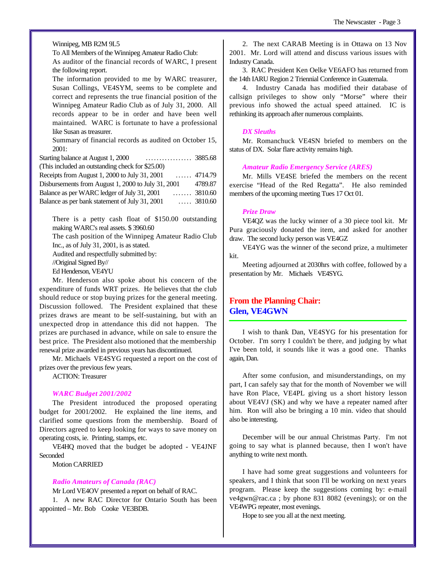#### Winnipeg, MB R2M 9L5

To All Members of the Winnipeg Amateur Radio Club:

As auditor of the financial records of WARC, I present the following report.

The information provided to me by WARC treasurer, Susan Collings, VE4SYM, seems to be complete and correct and represents the true financial position of the Winnipeg Amateur Radio Club as of July 31, 2000. All records appear to be in order and have been well maintained. WARC is fortunate to have a professional like Susan as treasurer.

Summary of financial records as audited on October 15, 2001:

Starting balance at August 1, 2000 ................. 3885.68 (This included an outstanding check for \$25.00) Receipts from August 1, 2000 to July 31, 2001 ...... 4714.79 Disbursements from August 1, 2000 to July 31, 2001 4789.87 Balance as per WARC ledger of July 31, 2001 ....... 3810.60 Balance as per bank statement of July 31, 2001 ..... 3810.60

There is a petty cash float of \$150.00 outstanding making WARC's real assets. \$ 3960.60

The cash position of the Winnipeg Amateur Radio Club Inc., as of July 31, 2001, is as stated.

Audited and respectfully submitted by:

//Original Signed By//

Ed Henderson, VE4YU

Mr. Henderson also spoke about his concern of the expenditure of funds WRT prizes. He believes that the club should reduce or stop buying prizes for the general meeting. Discussion followed. The President explained that these prizes draws are meant to be self-sustaining, but with an unexpected drop in attendance this did not happen. The prizes are purchased in advance, while on sale to ensure the best price. The President also motioned that the membership renewal prize awarded in previous years has discontinued.

Mr. Michaels VE4SYG requested a report on the cost of prizes over the previous few years.

ACTION: Treasurer

#### *WARC Budget 2001/2002*

The President introduced the proposed operating budget for 2001/2002. He explained the line items, and clarified some questions from the membership. Board of Directors agreed to keep looking for ways to save money on operating costs, ie. Printing, stamps, etc.

VE4HQ moved that the budget be adopted - VE4JNF **Seconded** 

Motion CARRIED

#### *Radio Amateurs of Canada (RAC)*

Mr Lord VE4OV presented a report on behalf of RAC. 1. A new RAC Director for Ontario South has been appointed – Mr. Bob Cooke VE3BDB.

2. The next CARAB Meeting is in Ottawa on 13 Nov 2001. Mr. Lord will attend and discuss various issues with Industry Canada.

3. RAC President Ken Oelke VE6AFO has returned from the 14th IARU Region 2 Triennial Conference in Guatemala.

4. Industry Canada has modified their database of callsign privileges to show only "Morse" where their previous info showed the actual speed attained. IC is rethinking its approach after numerous complaints.

#### *DX Sleuths*

Mr. Romanchuck VE4SN briefed to members on the status of DX. Solar flare activity remains high.

#### *Amateur Radio Emergency Service (ARES)*

Mr. Mills VE4SE briefed the members on the recent exercise "Head of the Red Regatta". He also reminded members of the upcoming meeting Tues 17 Oct 01.

#### *Prize Draw*

VE4QZ was the lucky winner of a 30 piece tool kit. Mr Pura graciously donated the item, and asked for another draw. The second lucky person was VE4GZ

VE4YG was the winner of the second prize, a multimeter kit.

Meeting adjourned at 2030hrs with coffee, followed by a presentation by Mr. Michaels VE4SYG.

# **From the Planning Chair: Glen, VE4GWN**

I wish to thank Dan, VE4SYG for his presentation for October. I'm sorry I couldn't be there, and judging by what I've been told, it sounds like it was a good one. Thanks again, Dan.

After some confusion, and misunderstandings, on my part, I can safely say that for the month of November we will have Ron Place, VE4PL giving us a short history lesson about VE4VJ (SK) and why we have a repeater named after him. Ron will also be bringing a 10 min. video that should also be interesting.

December will be our annual Christmas Party. I'm not going to say what is planned because, then I won't have anything to write next month.

I have had some great suggestions and volunteers for speakers, and I think that soon I'll be working on next years program. Please keep the suggestions coming by: e-mail ve4gwn@rac.ca ; by phone 831 8082 (evenings); or on the VE4WPG repeater, most evenings.

Hope to see you all at the next meeting.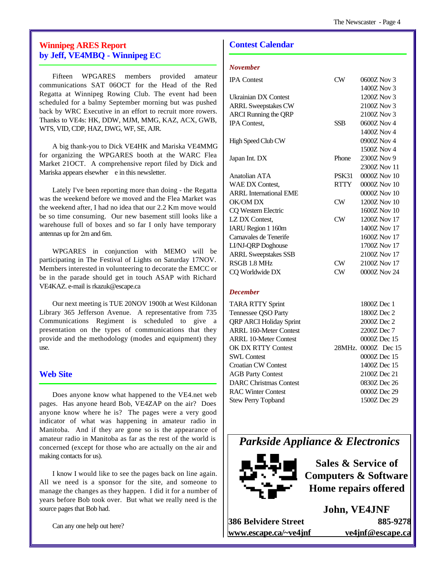# **Winnipeg ARES Report by Jeff, VE4MBQ - Winnipeg EC**

Fifteen WPGARES members provided amateur communications SAT 06OCT for the Head of the Red Regatta at Winnipeg Rowing Club. The event had been scheduled for a balmy September morning but was pushed back by WRC Executive in an effort to recruit more rowers. Thanks to VE4s: HK, DDW, MJM, MMG, KAZ, ACX, GWB, WTS, VID, CDP, HAZ, DWG, WF, SE, AJR.

A big thank-you to Dick VE4HK and Mariska VE4MMG for organizing the WPGARES booth at the WARC Flea Market 21OCT. A comprehensive report filed by Dick and Mariska appears elsewher e in this newsletter.

Lately I've been reporting more than doing - the Regatta was the weekend before we moved and the Flea Market was the weekend after, I had no idea that our 2.2 Km move would be so time consuming. Our new basement still looks like a warehouse full of boxes and so far I only have temporary antennas up for 2m and 6m.

WPGARES in conjunction with MEMO will be participating in The Festival of Lights on Saturday 17NOV. Members interested in volunteering to decorate the EMCC or be in the parade should get in touch ASAP with Richard VE4KAZ. e-mail is rkazuk@escape.ca

Our next meeting is TUE 20NOV 1900h at West Kildonan Library 365 Jefferson Avenue. A representative from 735 Communications Regiment is scheduled to give a presentation on the types of communications that they provide and the methodology (modes and equipment) they use.

# **Web Site**

Does anyone know what happened to the VE4.net web pages. Has anyone heard Bob, VE4ZAP on the air? Does anyone know where he is? The pages were a very good indicator of what was happening in amateur radio in Manitoba. And if they are gone so is the appearance of amateur radio in Manitoba as far as the rest of the world is concerned (except for those who are actually on the air and making contacts for us).

I know I would like to see the pages back on line again. All we need is a sponsor for the site, and someone to manage the changes as they happen. I did it for a number of years before Bob took over. But what we really need is the source pages that Bob had.

Can any one help out here?

# **Contest Calendar**

## *November*

| <b>IPA</b> Contest            | CW          | 0600Z Nov 3      |
|-------------------------------|-------------|------------------|
|                               |             | 1400Z Nov 3      |
| <b>Ukrainian DX Contest</b>   |             | 1200Z Nov 3      |
| <b>ARRL Sweepstakes CW</b>    |             | 2100Z Nov 3      |
| <b>ARCI</b> Running the QRP   |             | 2100Z Nov 3      |
| IPA Contest,                  | <b>SSB</b>  | 0600Z Nov 4      |
|                               |             | 1400Z Nov 4      |
| High Speed Club CW            |             | 0900Z Nov 4      |
|                               |             | 1500Z Nov 4      |
| Japan Int. DX                 | Phone       | 2300Z Nov 9      |
|                               |             | 2300Z Nov 11     |
| Anatolian ATA                 | PSK31       | 0000Z Nov 10     |
| WAE DX Contest,               | <b>RTTY</b> | $0000Z$ Nov $10$ |
| <b>ARRL</b> International EME |             | 0000Z Nov 10     |
| OK/OM DX                      | CW          | 1200Z Nov 10     |
| CQ Western Electric           |             | 1600Z Nov 10     |
| LZ DX Contest,                | $\rm CW$    | 1200Z Nov 17     |
| IARU Region 1 160m            |             | 1400Z Nov 17     |
| Carnavales de Tenerife        |             | 1600Z Nov 17     |
| LI/NJ-QRP Doghouse            |             | 1700Z Nov 17     |
| <b>ARRL Sweepstakes SSB</b>   |             | 2100Z Nov 17     |
| RSGB 1.8 MHz                  | $\rm CW$    | 2100Z Nov 17     |
| CQ Worldwide DX               | $\rm CW$    | 0000Z Nov 24     |
|                               |             |                  |

# *December*

| <b>TARA RTTY Sprint</b>        | 1800Z Dec 1         |
|--------------------------------|---------------------|
| Tennessee QSO Party            | 1800Z Dec 2         |
| <b>QRP ARCI Holiday Sprint</b> | 2000Z Dec 2         |
| <b>ARRL 160-Meter Contest</b>  | 2200Z Dec 7         |
| <b>ARRL 10-Meter Contest</b>   | 0000Z Dec 15        |
| OK DX RTTY Contest             | 28MHz, 0000Z Dec 15 |
| <b>SWL Contest</b>             | 0000Z Dec 15        |
| Croatian CW Contest            | 1400Z Dec 15        |
| <b>AGB Party Contest</b>       | 2100Z Dec 21        |
| <b>DARC Christmas Contest</b>  | 0830Z Dec 26        |
| <b>RAC Winter Contest</b>      | 0000Z Dec 29        |
| <b>Stew Perry Topband</b>      | 1500Z Dec 29        |
|                                |                     |

*Parkside Appliance & Electronics*



**Sales & Service of Computers & Software Home repairs offered**

**John, VE4JNF 386 Belvidere Street 885-9278 www.escape.ca/~ve4jnf ve4jnf@escape.ca**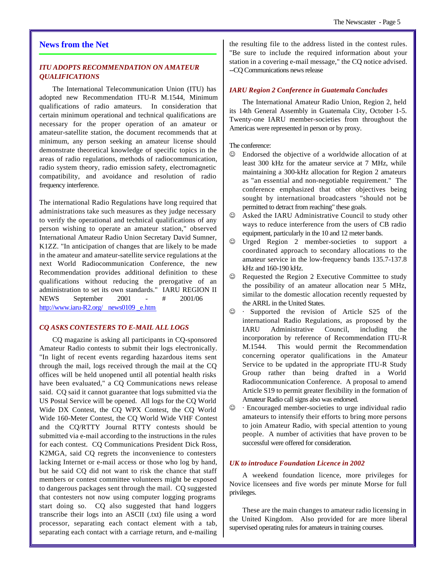## **News from the Net**

# *ITU ADOPTS RECOMMENDATION ON AMATEUR QUALIFICATIONS*

The International Telecommunication Union (ITU) has adopted new Recommendation ITU-R M.1544, Minimum qualifications of radio amateurs. In consideration that certain minimum operational and technical qualifications are necessary for the proper operation of an amateur or amateur-satellite station, the document recommends that at minimum, any person seeking an amateur license should demonstrate theoretical knowledge of specific topics in the areas of radio regulations, methods of radiocommunication, radio system theory, radio emission safety, electromagnetic compatibility, and avoidance and resolution of radio frequency interference.

The international Radio Regulations have long required that administrations take such measures as they judge necessary to verify the operational and technical qualifications of any person wishing to operate an amateur station," observed International Amateur Radio Union Secretary David Sumner, K1ZZ. "In anticipation of changes that are likely to be made in the amateur and amateur-satellite service regulations at the next World Radiocommunication Conference, the new Recommendation provides additional definition to these qualifications without reducing the prerogative of an administration to set its own standards." IARU REGION II NEWS September 2001 - # 2001/06 http://www.iaru-R2.org/ news0109 e.htm

#### *CQ ASKS CONTESTERS TO E-MAIL ALL LOGS*

CQ magazine is asking all participants in CQ-sponsored Amateur Radio contests to submit their logs electronically. "In light of recent events regarding hazardous items sent through the mail, logs received through the mail at the CQ offices will be held unopened until all potential health risks have been evaluated," a CQ Communications news release said. CQ said it cannot guarantee that logs submitted via the US Postal Service will be opened. All logs for the CQ World Wide DX Contest, the CQ WPX Contest, the CQ World Wide 160-Meter Contest, the CQ World Wide VHF Contest and the CQ/RTTY Journal RTTY contests should be submitted via e-mail according to the instructions in the rules for each contest. CQ Communications President Dick Ross, K2MGA, said CQ regrets the inconvenience to contesters lacking Internet or e-mail access or those who log by hand, but he said CQ did not want to risk the chance that staff members or contest committee volunteers might be exposed to dangerous packages sent through the mail. CQ suggested that contesters not now using computer logging programs start doing so. CQ also suggested that hand loggers transcribe their logs into an ASCII (.txt) file using a word processor, separating each contact element with a tab, separating each contact with a carriage return, and e-mailing

the resulting file to the address listed in the contest rules. "Be sure to include the required information about your station in a covering e-mail message," the CQ notice advised. --CQ Communications news release

#### *IARU Region 2 Conference in Guatemala Concludes*

The International Amateur Radio Union, Region 2, held its 14th General Assembly in Guatemala City, October 1-5. Twenty-one IARU member-societies from throughout the Americas were represented in person or by proxy.

The conference:

- $\odot$  Endorsed the objective of a worldwide allocation of at least 300 kHz for the amateur service at 7 MHz, while maintaining a 300-kHz allocation for Region 2 amateurs as "an essential and non-negotiable requirement." The conference emphasized that other objectives being sought by international broadcasters "should not be permitted to detract from reaching" these goals.
- $\odot$  Asked the IARU Administrative Council to study other ways to reduce interference from the users of CB radio equipment, particularly in the 10 and 12 meter bands.
- $\odot$  Urged Region 2 member-societies to support a coordinated approach to secondary allocations to the amateur service in the low-frequency bands 135.7-137.8 kHz and 160-190 kHz.
- $\odot$  Requested the Region 2 Executive Committee to study the possibility of an amateur allocation near 5 MHz, similar to the domestic allocation recently requested by the ARRL in the United States.
- $\odot$  · Supported the revision of Article S25 of the international Radio Regulations, as proposed by the IARU Administrative Council, including the incorporation by reference of Recommendation ITU-R M.1544. This would permit the Recommendation concerning operator qualifications in the Amateur Service to be updated in the appropriate ITU-R Study Group rather than being drafted in a World Radiocommunication Conference. A proposal to amend Article S19 to permit greater flexibility in the formation of Amateur Radio call signs also was endorsed.
- $\odot$  · Encouraged member-societies to urge individual radio amateurs to intensify their efforts to bring more persons to join Amateur Radio, with special attention to young people. A number of activities that have proven to be successful were offered for consideration.

#### *UK to introduce Foundation Licence in 2002*

A weekend foundation licence, more privileges for Novice licensees and five words per minute Morse for full privileges.

These are the main changes to amateur radio licensing in the United Kingdom. Also provided for are more liberal supervised operating rules for amateurs in training courses.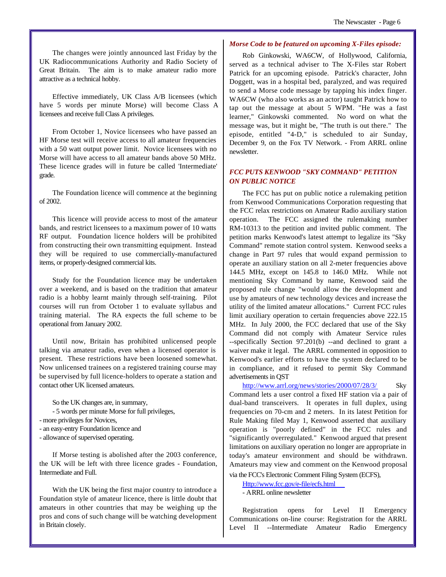The changes were jointly announced last Friday by the UK Radiocommunications Authority and Radio Society of Great Britain. The aim is to make amateur radio more attractive as a technical hobby.

Effective immediately, UK Class A/B licensees (which have 5 words per minute Morse) will become Class A licensees and receive full Class A privileges.

From October 1, Novice licensees who have passed an HF Morse test will receive access to all amateur frequencies with a 50 watt output power limit. Novice licensees with no Morse will have access to all amateur bands above 50 MHz. These licence grades will in future be called 'Intermediate' grade.

The Foundation licence will commence at the beginning of 2002.

This licence will provide access to most of the amateur bands, and restrict licensees to a maximum power of 10 watts RF output. Foundation licence holders will be prohibited from constructing their own transmitting equipment. Instead they will be required to use commercially-manufactured items, or properly-designed commercial kits.

Study for the Foundation licence may be undertaken over a weekend, and is based on the tradition that amateur radio is a hobby learnt mainly through self-training. Pilot courses will run from October 1 to evaluate syllabus and training material. The RA expects the full scheme to be operational from January 2002.

Until now, Britain has prohibited unlicensed people talking via amateur radio, even when a licensed operator is present. These restrictions have been loosened somewhat. Now unlicensed trainees on a registered training course may be supervised by full licence-holders to operate a station and contact other UK licensed amateurs.

So the UK changes are, in summary,

- 5 words per minute Morse for full privileges,

- more privileges for Novices,
- an easy-entry Foundation licence and
- allowance of supervised operating.

If Morse testing is abolished after the 2003 conference, the UK will be left with three licence grades - Foundation, Intermediate and Full.

With the UK being the first major country to introduce a Foundation style of amateur licence, there is little doubt that amateurs in other countries that may be weighing up the pros and cons of such change will be watching development in Britain closely.

#### *Morse Code to be featured on upcoming X-Files episode:*

Rob Ginkowski, WA6CW, of Hollywood, California, served as a technical adviser to The X-Files star Robert Patrick for an upcoming episode. Patrick's character, John Doggett, was in a hospital bed, paralyzed, and was required to send a Morse code message by tapping his index finger. WA6CW (who also works as an actor) taught Patrick how to tap out the message at about 5 WPM. "He was a fast learner," Ginkowski commented. No word on what the message was, but it might be, "The truth is out there." The episode, entitled "4-D," is scheduled to air Sunday, December 9, on the Fox TV Network. - From ARRL online newsletter.

# *FCC PUTS KENWOOD "SKY COMMAND" PETITION ON PUBLIC NOTICE*

The FCC has put on public notice a rulemaking petition from Kenwood Communications Corporation requesting that the FCC relax restrictions on Amateur Radio auxiliary station operation. The FCC assigned the rulemaking number RM-10313 to the petition and invited public comment. The petition marks Kenwood's latest attempt to legalize its "Sky Command" remote station control system. Kenwood seeks a change in Part 97 rules that would expand permission to operate an auxiliary station on all 2-meter frequencies above 144.5 MHz, except on 145.8 to 146.0 MHz. While not mentioning Sky Command by name, Kenwood said the proposed rule change "would allow the development and use by amateurs of new technology devices and increase the utility of the limited amateur allocations." Current FCC rules limit auxiliary operation to certain frequencies above 222.15 MHz. In July 2000, the FCC declared that use of the Sky Command did not comply with Amateur Service rules --specifically Section 97.201(b) --and declined to grant a waiver make it legal. The ARRL commented in opposition to Kenwood's earlier efforts to have the system declared to be in compliance, and it refused to permit Sky Command advertisements in QST

http://www.arrl.org/news/stories/2000/07/28/3/ Sky Command lets a user control a fixed HF station via a pair of dual-band transceivers. It operates in full duplex, using frequencies on 70-cm and 2 meters. In its latest Petition for Rule Making filed May 1, Kenwood asserted that auxiliary operation is "poorly defined" in the FCC rules and "significantly overregulated." Kenwood argued that present limitations on auxiliary operation no longer are appropriate in today's amateur environment and should be withdrawn. Amateurs may view and comment on the Kenwood proposal via the FCC's Electronic Comment Filing System (ECFS),

Http://www.fcc.gov/e-file/ecfs.html

- ARRL online newsletter

Registration opens for Level II Emergency Communications on-line course: Registration for the ARRL Level II --Intermediate Amateur Radio Emergency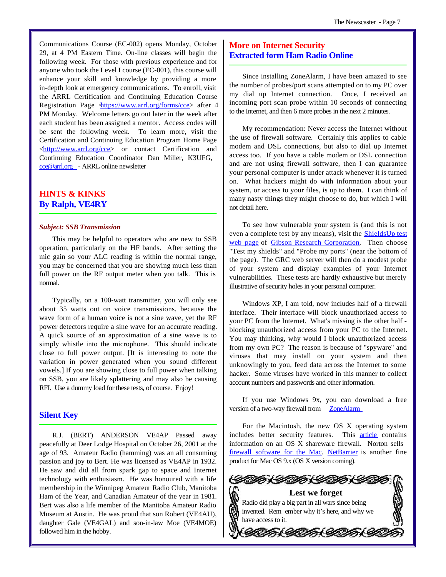Communications Course (EC-002) opens Monday, October 29, at 4 PM Eastern Time. On-line classes will begin the following week. For those with previous experience and for anyone who took the Level I course (EC-001), this course will enhance your skill and knowledge by providing a more in-depth look at emergency communications. To enroll, visit the ARRL Certification and Continuing Education Course Registration Page  $\frac{\text{https://www.arrl.org/forms/ccc}}{\text{https://www.arrl.org/forms/ccc}}$  after 4 PM Monday. Welcome letters go out later in the week after each student has been assigned a mentor. Access codes will be sent the following week. To learn more, visit the Certification and Continuing Education Program Home Page <http://www.arrl.org/cce> or contact Certification and Continuing Education Coordinator Dan Miller, K3UFG, cce@arrl.org - ARRL online newsletter

# **HINTS & KINKS By Ralph, VE4RY**

#### *Subject: SSB Transmission*

This may be helpful to operators who are new to SSB operation, particularly on the HF bands. After setting the mic gain so your ALC reading is within the normal range, you may be concerned that you are showing much less than full power on the RF output meter when you talk. This is normal.

Typically, on a 100-watt transmitter, you will only see about 35 watts out on voice transmissions, because the wave form of a human voice is not a sine wave, yet the RF power detectors require a sine wave for an accurate reading. A quick source of an approximation of a sine wave is to simply whistle into the microphone. This should indicate close to full power output. [It is interesting to note the variation in power generated when you sound different vowels.] If you are showing close to full power when talking on SSB, you are likely splattering and may also be causing RFI. Use a dummy load for these tests, of course. Enjoy!

### **Silent Key**

R.J. (BERT) ANDERSON VE4AP Passed away peacefully at Deer Lodge Hospital on October 26, 2001 at the age of 93. Amateur Radio (hamming) was an all consuming passion and joy to Bert. He was licensed as VE4AP in 1932. He saw and did all from spark gap to space and Internet technology with enthusiasm. He was honoured with a life membership in the Winnipeg Amateur Radio Club, Manitoba Ham of the Year, and Canadian Amateur of the year in 1981. Bert was also a life member of the Manitoba Amateur Radio Museum at Austin. He was proud that son Robert (VE4AU), daughter Gale (VE4GAL) and son-in-law Moe (VE4MOE) followed him in the hobby.

# **More on Internet Security Extracted form Ham Radio Online**

Since installing ZoneAlarm, I have been amazed to see the number of probes/port scans attempted on to my PC over my dial up Internet connection. Once, I received an incoming port scan probe within 10 seconds of connecting to the Internet, and then 6 more probes in the next 2 minutes.

My recommendation: Never access the Internet without the use of firewall software. Certainly this applies to cable modem and DSL connections, but also to dial up Internet access too. If you have a cable modem or DSL connection and are not using firewall software, then I can guarantee your personal computer is under attack whenever it is turned on. What hackers might do with information about your system, or access to your files, is up to them. I can think of many nasty things they might choose to do, but which I will not detail here.

To see how vulnerable your system is (and this is not even a complete test by any means), visit the ShieldsUp test web page of Gibson Research Corporation. Then choose "Test my shields" and "Probe my ports" (near the bottom of the page). The GRC web server will then do a modest probe of your system and display examples of your Internet vulnerabilities. These tests are hardly exhaustive but merely illustrative of security holes in your personal computer.

Windows XP, I am told, now includes half of a firewall interface. Their interface will block unauthorized access to your PC from the Internet. What's missing is the other half blocking unauthorized access from your PC to the Internet. You may thinking, why would I block unauthorized access from my own PC? The reason is because of "spyware" and viruses that may install on your system and then unknowingly to you, feed data across the Internet to some hacker. Some viruses have worked in this manner to collect account numbers and passwords and other information.

If you use Windows 9x, you can download a free version of a two-way firewall from **ZoneAlarm** 

For the Macintosh, the new OS X operating system includes better security features. This **article** contains information on an OS X shareware firewall. Norton sells firewall software for the Mac. NetBarrier is another fine product for Mac OS 9.x (OS X version coming).

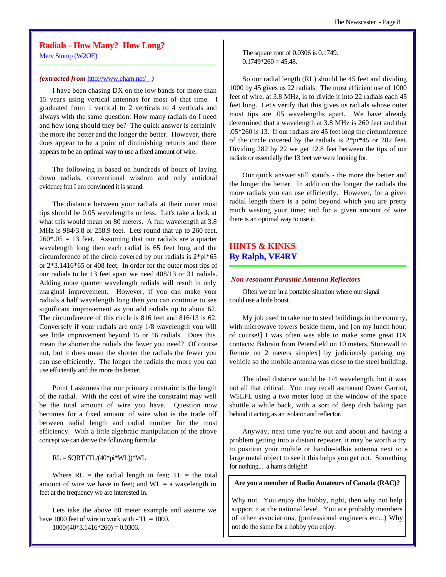# **Radials - How Many? How Long?**

Merv Stump (W2OE)

#### *(extracted from* http://www.eham.net/ *)*

I have been chasing DX on the low bands for more than 15 years using vertical antennas for most of that time. I graduated from 1 vertical to 2 verticals to 4 verticals and always with the same question: How many radials do I need and how long should they be? The quick answer is certainly the more the better and the longer the better. However, there does appear to be a point of diminishing returns and there appears to be an optimal way to use a fixed amount of wire.

The following is based on hundreds of hours of laying down radials, conventional wisdom and only antidotal evidence but I am convinced it is sound.

The distance between your radials at their outer most tips should be 0.05 wavelengths or less. Let's take a look at what this would mean on 80 meters. A full wavelength at 3.8 MHz is 984/3.8 or 258.9 feet. Lets round that up to 260 feet.  $260*.05 = 13$  feet. Assuming that our radials are a quarter wavelength long then each radial is 65 feet long and the circumference of the circle covered by our radials is 2\*pi\*65 or 2\*3.1416\*65 or 408 feet. In order for the outer most tips of our radials to be 13 feet apart we need 408/13 or 31 radials. Adding more quarter wavelength radials will result in only marginal improvement. However, if you can make your radials a half wavelength long then you can continue to see significant improvement as you add radials up to about 62. The circumference of this circle is 816 feet and 816/13 is 62. Conversely if your radials are only 1/8 wavelength you will see little improvement beyond 15 or 16 radials. Does this mean the shorter the radials the fewer you need? Of course not, but it does mean the shorter the radials the fewer you can use efficiently. The longer the radials the more you can use efficiently and the more the better.

Point 1 assumes that our primary constraint is the length of the radial. With the cost of wire the constraint may well be the total amount of wire you have. Question now becomes for a fixed amount of wire what is the trade off between radial length and radial number for the most efficiency. With a little algebraic manipulation of the above concept we can derive the following formula:

 $RL = SQRT (TL/(40*pi*WL))*WL$ 

Where  $RL =$  the radial length in feet;  $TL =$  the total amount of wire we have in feet; and  $WL = a$  wavelength in feet at the frequency we are interested in.

Lets take the above 80 meter example and assume we have 1000 feet of wire to work with  $-TL = 1000$ .  $1000/(40*3.1416*260) = 0.0306.$ 

The square root of 0.0306 is 0.1749.  $0.1749*260 = 45.48.$ 

So our radial length (RL) should be 45 feet and dividing 1000 by 45 gives us 22 radials. The most efficient use of 1000 feet of wire, at 3.8 MHz, is to divide it into 22 radials each 45 feet long. Let's verify that this gives us radials whose outer most tips are .05 wavelengths apart. We have already determined that a wavelength at 3.8 MHz is 260 feet and that .05\*260 is 13. If our radials are 45 feet long the circumference of the circle covered by the radials is 2\*pi\*45 or 282 feet. Dividing 282 by 22 we get 12.8 feet between the tips of our radials or essentially the 13 feet we were looking for.

Our quick answer still stands - the more the better and the longer the better. In addition the longer the radials the more radials you can use efficiently. However, for a given radial length there is a point beyond which you are pretty much wasting your time; and for a given amount of wire there is an optimal way to use it.

# **HINTS & KINKS By Ralph, VE4RY**

#### *Non-resonant Parasitic Antenna Reflectors*

Often we are in a portable situation where our signal could use a little boost.

My job used to take me to steel buildings in the country, with microwave towers beside them, and [on my lunch hour, of course!] I was often was able to make some great DX contacts: Bahrain from Petersfield on 10 meters, Stonewall to Rennie on 2 meters simplex] by judiciously parking my vehicle so the mobile antenna was close to the steel building.

The ideal distance would be 1/4 wavelength, but it was not all that critical. You may recall astronaut Owen Garriot, W5LFL using a two meter loop in the window of the space shuttle a while back, with a sort of deep dish baking pan behind it acting as an isolator and reflector.

Anyway, next time you're out and about and having a problem getting into a distant repeater, it may be worth a try to position your mobile or handie-talkie antenna next to a large metal object to see it this helps you get out. Something for nothing... a ham's delight!

#### **Are you a member of Radio Amateurs of Canada (RAC)?**

Why not. You enjoy the hobby, right, then why not help support it at the national level. You are probably members of other associations, (professional engineers etc...) Why not do the same for a hobby you enjoy.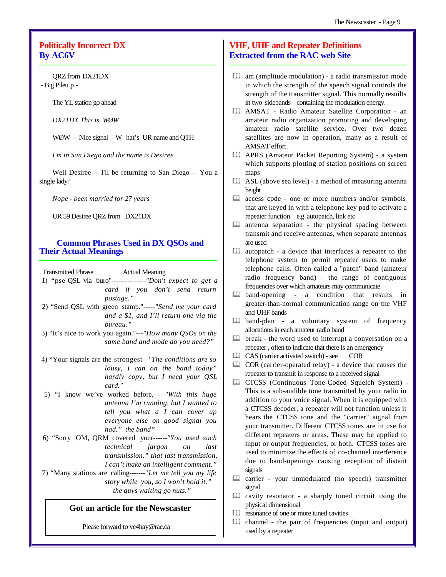# **Politically Incorrect DX By AC6V**

QRZ from DX21DX - Big Pileu p -

The YL station go ahead

*DX21DX This is WØW*

WØW -- Nice signal -- W hat's UR name and QTH

*I'm in San Diego and the name is Desiree*

Well Desiree -- I'll be returning to San Diego -- You a single lady?

*Nope - been married for 27 years*

UR 59 Desiree QRZ from DX21DX

# **Common Phrases Used in DX QSOs and Their Actual Meanings**

Transmitted Phrase Actual Meaning

 1) "pse QSL via buro"---------------*"Don't expect to get a card if you don't send return postage."*

- 2) "Send QSL with green stamp."-----*"Send me your card and a \$1, and I'll return one via the bureau."*
- 3) "It's nice to work you again."---*"How many QSOs on the same band and mode do you need?"*
- 4) "Your signals are the strongest*—"The conditions are so lousy, I can on the band today" hardly copy, but I need your QSL card."*
- 5) "I know we've worked before,-----*"With this huge antenna I'm running, but I wanted to tell you what a I can cover up everyone else on good signal you had." the band"*
- 6) "Sorry OM, QRM covered your------*"You used such technical jargon on last transmission." that last transmission, I can't make an intelligent comment."*
- 7) "Many stations are calling-------"*Let me tell you my life story while you, so I won't hold it." the guys waiting go nuts."*

# **Got an article for the Newscaster**

Please forward to ve4hay@rac.ca

# **VHF, UHF and Repeater Definitions Extracted from the RAC web Site**

- $\Box$  am (amplitude modulation) a radio transmission mode in which the strength of the speech signal controls the strength of the transmitter signal. This normally resuilts in two sidebands containing the modulation energy.
- & AMSAT Radio Amateur Satellite Corporation an amateur radio organization promoting and developing amateur radio satellite service. Over two dozen satellites are now in operation, many as a result of AMSAT effort.
- & APRS (Amateur Packet Reporting System) a system which supports plotting of station positions on screen maps
- $\Box$  ASL (above sea level) a method of measuring antenna height
- $\Box$  access code one or more numbers and/or symbols that are keyed in with a telephone key pad to activate a repeater function e.g autopatch, link etc
- $\Box$  antenna separation the physical spacing between transmit and receive antennas, when separate antennas are used
- $\Box$  autopatch a device that interfaces a repeater to the telephone system to permit repeater users to make telephone calls. Often called a "patch" band (amateur radio frequency band) - the range of contiguous frequencies over which amateurs may communicate
- & band-opening a condition that results in greater-than-normal communication range on the VHF and UHF bands
- & band-plan a voluntary system of frequency allocations in each amateur radio band
- $\Box$  break the word used to interrupt a conversation on a repeater , often to indicate that there is an emergency
- $\Box$  CAS (carrier activated switch) see COR
- $\Box$  COR (carrier-operated relay) a device that causes the repeater to transmit in response to a received signal
- & CTCSS (Continuous Tone-Coded Squelch System) This is a sub-audible tone transmitted by your radio in addition to your voice signal. When it is equipped with a CTCSS decoder, a repeater will not function unless it hears the CTCSS tone and the "carrier" signal from your transmitter. Different CTCSS tones are in use for different repeaters or areas. These may be applied to input or output frequencies, or both. CTCSS tones are used to minimize the effects of co-channel interference due to band-openings causing reception of distant signals
- & carrier your unmodulated (no speech) transmitter signal
- $\Box$  cavity resonator a sharply tuned circuit using the physical dimensional
- & resonance of one or more tuned cavities
- $\Box$  channel the pair of frequencies (input and output) used by a repeater